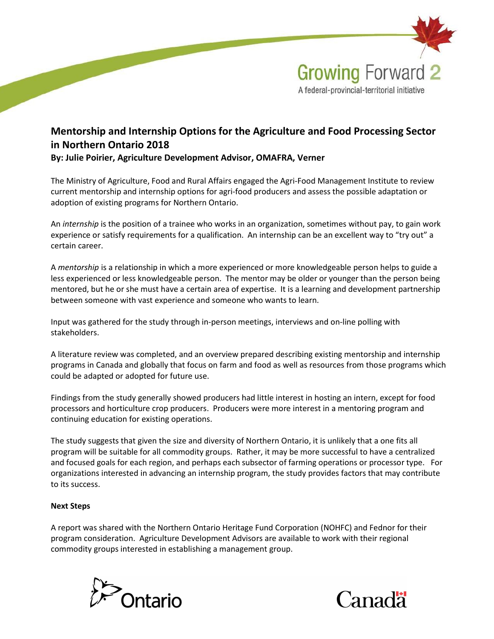

## Mentorship and Internship Options for the Agriculture and Food Processing Sector in Northern Ontario 2018 By: Julie Poirier, Agriculture Development Advisor, OMAFRA, Verner

The Ministry of Agriculture, Food and Rural Affairs engaged the Agri-Food Management Institute to review current mentorship and internship options for agri-food producers and assess the possible adaptation or adoption of existing programs for Northern Ontario.

An internship is the position of a trainee who works in an organization, sometimes without pay, to gain work experience or satisfy requirements for a qualification. An internship can be an excellent way to "try out" a certain career.

A mentorship is a relationship in which a more experienced or more knowledgeable person helps to guide a less experienced or less knowledgeable person. The mentor may be older or younger than the person being mentored, but he or she must have a certain area of expertise. It is a learning and development partnership between someone with vast experience and someone who wants to learn.

Input was gathered for the study through in-person meetings, interviews and on-line polling with stakeholders.

A literature review was completed, and an overview prepared describing existing mentorship and internship programs in Canada and globally that focus on farm and food as well as resources from those programs which could be adapted or adopted for future use.

Findings from the study generally showed producers had little interest in hosting an intern, except for food processors and horticulture crop producers. Producers were more interest in a mentoring program and continuing education for existing operations.

The study suggests that given the size and diversity of Northern Ontario, it is unlikely that a one fits all program will be suitable for all commodity groups. Rather, it may be more successful to have a centralized and focused goals for each region, and perhaps each subsector of farming operations or processor type. For organizations interested in advancing an internship program, the study provides factors that may contribute to its success.

## Next Steps

A report was shared with the Northern Ontario Heritage Fund Corporation (NOHFC) and Fednor for their program consideration. Agriculture Development Advisors are available to work with their regional commodity groups interested in establishing a management group.